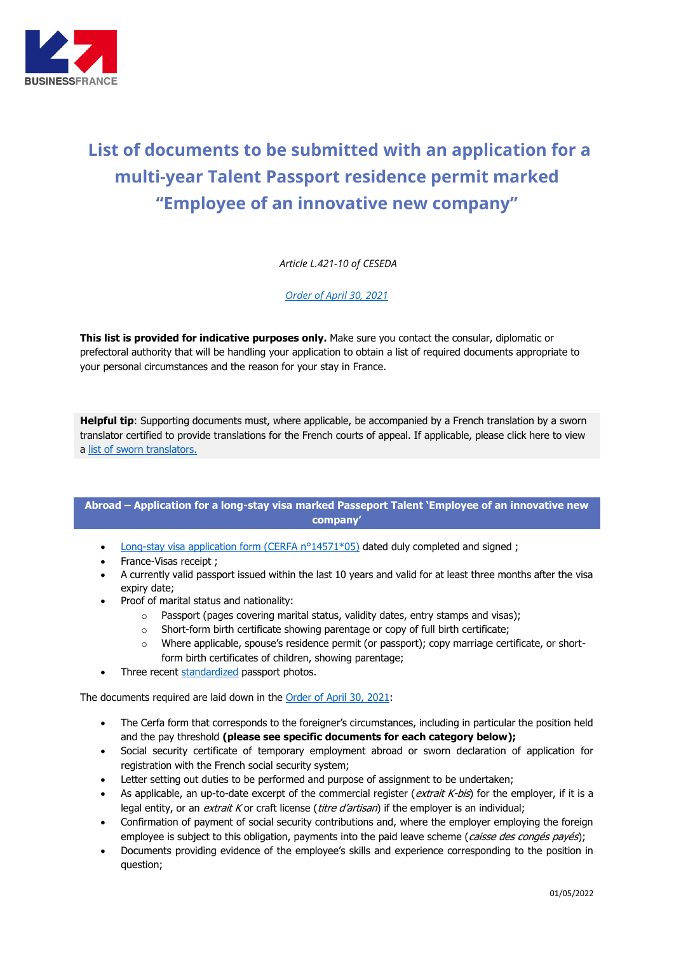

## **List of documents to be submitted with an application for a multi-year Talent Passport residence permit marked "Employee of an innovative new company"**

*Article L.421-10 of CESEDA*

*[Order of April](https://www.legifrance.gouv.fr/jorf/id/JORFTEXT000043466864) 30, 2021*

**This list is provided for indicative purposes only.** Make sure you contact the consular, diplomatic or prefectoral authority that will be handling your application to obtain a list of required documents appropriate to your personal circumstances and the reason for your stay in France.

**Helpful tip**: Supporting documents must, where applicable, be accompanied by a French translation by a sworn translator certified to provide translations for the French courts of appeal. If applicable, please click here to view a [list of sworn translators.](http://www.annuaire-traducteur-assermente.fr/)

## **Abroad – Application for a long-stay visa marked Passeport Talent 'Employee of an innovative new company'**

- Long-stay visa application form (CERFA  $n^{\circ}14571*05$ ) dated duly completed and signed;
- France-Visas receipt ;
- A currently valid passport issued within the last 10 years and valid for at least three months after the visa expiry date;
- Proof of marital status and nationality:
	- o Passport (pages covering marital status, validity dates, entry stamps and visas);
	- $\circ$  Short-form birth certificate showing parentage or copy of full birth certificate;
	- o Where applicable, spouse's residence permit (or passport); copy marriage certificate, or shortform birth certificates of children, showing parentage;
- Three recent [standardized](http://www.diplomatie.gouv.fr/fr/IMG/pdf/Normes_des_photos_visas_-_exemples.pdf) passport photos.

The documents required are laid down in the [Order of April](https://www.legifrance.gouv.fr/jorf/id/JORFTEXT000043466864) 30, 2021:

- The Cerfa form that corresponds to the foreigner's circumstances, including in particular the position held and the pay threshold **(please see specific documents for each category below);**
- Social security certificate of temporary employment abroad or sworn declaration of application for registration with the French social security system;
- Letter setting out duties to be performed and purpose of assignment to be undertaken;
- As applicable, an up-to-date excerpt of the commercial register (extrait K-bis) for the employer, if it is a legal entity, or an *extrait K* or craft license (*titre d'artisan*) if the employer is an individual;
- Confirmation of payment of social security contributions and, where the employer employing the foreign employee is subject to this obligation, payments into the paid leave scheme (caisse des congés payés);
- Documents providing evidence of the employee's skills and experience corresponding to the position in question;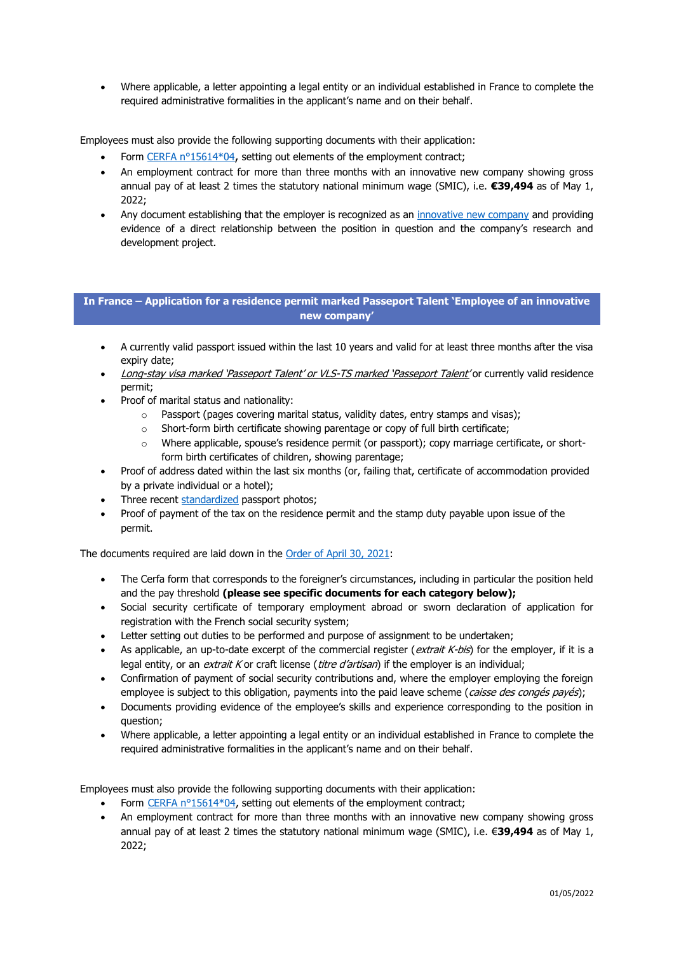• Where applicable, a letter appointing a legal entity or an individual established in France to complete the required administrative formalities in the applicant's name and on their behalf.

Employees must also provide the following supporting documents with their application:

- Form [CERFA n°15614\\*04](https://www.service-public.fr/particuliers/vosdroits/R46144), setting out elements of the employment contract;
- An employment contract for more than three months with an innovative new company showing gross annual pay of at least 2 times the statutory national minimum wage (SMIC), i.e. **€39,494** as of May 1,  $2022$
- Any document establishing that the employer is recognized as an [innovative new company](https://www.legifrance.gouv.fr/affichCodeArticle.do?cidTexte=LEGITEXT000006069577&idArticle=LEGIARTI000006302407&dateTexte=&categorieLien=cid) and providing evidence of a direct relationship between the position in question and the company's research and development project.

## **In France – Application for a residence permit marked Passeport Talent 'Employee of an innovative new company'**

- A currently valid passport issued within the last 10 years and valid for at least three months after the visa expiry date;
- Long-stay visa marked 'Passeport Talent' or VLS-TS marked 'Passeport Talent' or currently valid residence permit;
- Proof of marital status and nationality:
	- o Passport (pages covering marital status, validity dates, entry stamps and visas);
	- $\circ$  Short-form birth certificate showing parentage or copy of full birth certificate;
	- o Where applicable, spouse's residence permit (or passport); copy marriage certificate, or shortform birth certificates of children, showing parentage;
- Proof of address dated within the last six months (or, failing that, certificate of accommodation provided by a private individual or a hotel);
- Three recent [standardized](http://www.diplomatie.gouv.fr/fr/IMG/pdf/Normes_des_photos_visas_-_exemples.pdf) passport photos;
- Proof of payment of the tax on the residence permit and the stamp duty payable upon issue of the permit.

The documents required are laid down in the [Order of April](https://www.legifrance.gouv.fr/jorf/id/JORFTEXT000043466864) 30, 2021:

- The Cerfa form that corresponds to the foreigner's circumstances, including in particular the position held and the pay threshold **(please see specific documents for each category below);**
- Social security certificate of temporary employment abroad or sworn declaration of application for registration with the French social security system;
- Letter setting out duties to be performed and purpose of assignment to be undertaken;
- As applicable, an up-to-date excerpt of the commercial register (extrait K-bis) for the employer, if it is a legal entity, or an *extrait K* or craft license (*titre d'artisan*) if the employer is an individual;
- Confirmation of payment of social security contributions and, where the employer employing the foreign employee is subject to this obligation, payments into the paid leave scheme (*caisse des congés payés*);
- Documents providing evidence of the employee's skills and experience corresponding to the position in question;
- Where applicable, a letter appointing a legal entity or an individual established in France to complete the required administrative formalities in the applicant's name and on their behalf.

Employees must also provide the following supporting documents with their application:

- Form [CERFA n°15614\\*04,](https://www.service-public.fr/particuliers/vosdroits/R46144) setting out elements of the employment contract;
- An employment contract for more than three months with an innovative new company showing gross annual pay of at least 2 times the statutory national minimum wage (SMIC), i.e. €**39,494** as of May 1, 2022;